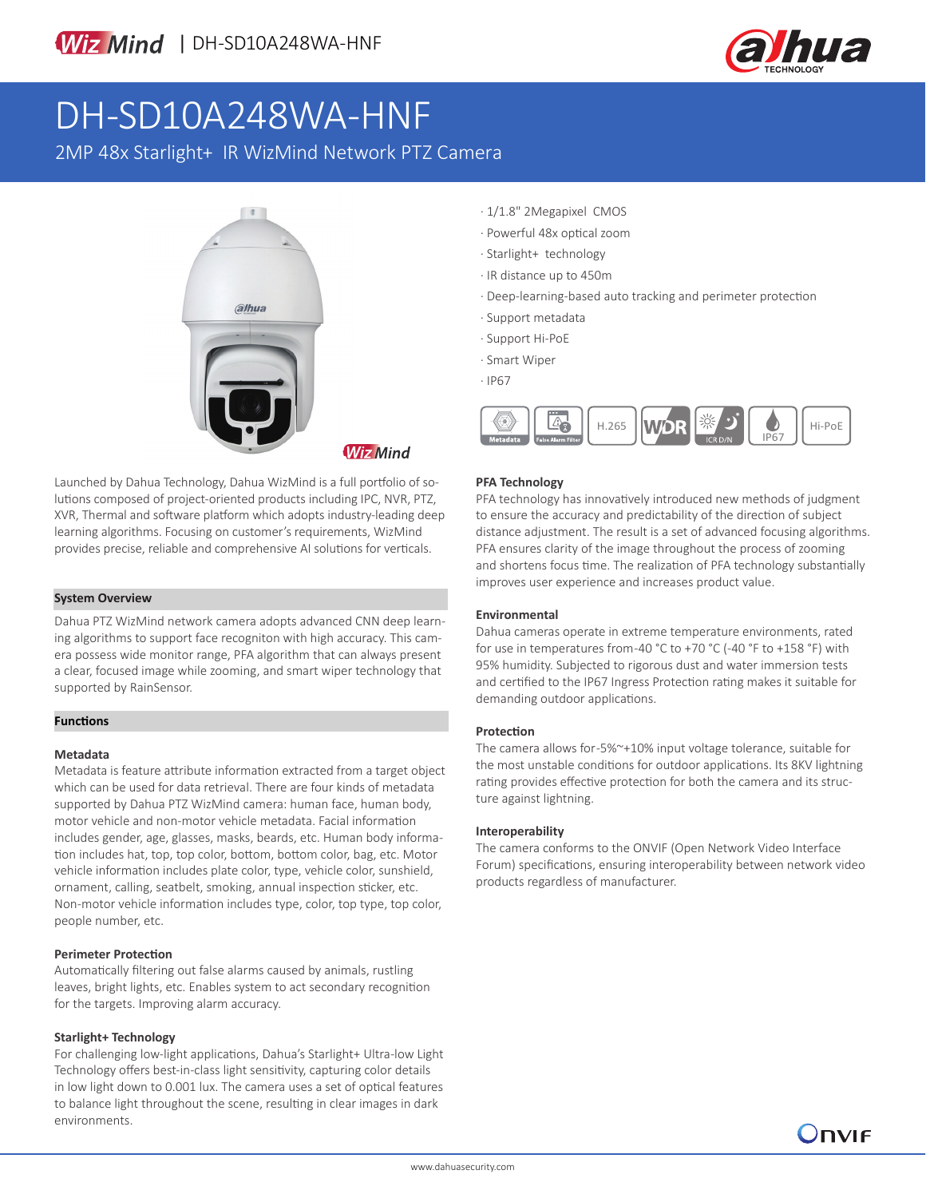

# DH-SD10A248WA-HNF

2MP 48x Starlight+ IR WizMind Network PTZ Camera



Launched by Dahua Technology, Dahua WizMind is a full portfolio of solutions composed of project-oriented products including IPC, NVR, PTZ, XVR, Thermal and software platform which adopts industry-leading deep learning algorithms. Focusing on customer's requirements, WizMind provides precise, reliable and comprehensive AI solutions for verticals.

### **System Overview**

Dahua PTZ WizMind network camera adopts advanced CNN deep learning algorithms to support face recogniton with high accuracy. This camera possess wide monitor range, PFA algorithm that can always present a clear, focused image while zooming, and smart wiper technology that supported by RainSensor.

### **Functions**

### **Metadata**

Metadata is feature attribute information extracted from a target object which can be used for data retrieval. There are four kinds of metadata supported by Dahua PTZ WizMind camera: human face, human body, motor vehicle and non-motor vehicle metadata. Facial information includes gender, age, glasses, masks, beards, etc. Human body information includes hat, top, top color, bottom, bottom color, bag, etc. Motor vehicle information includes plate color, type, vehicle color, sunshield, ornament, calling, seatbelt, smoking, annual inspection sticker, etc. Non-motor vehicle information includes type, color, top type, top color, people number, etc.

### **Perimeter Protection**

Automatically filtering out false alarms caused by animals, rustling leaves, bright lights, etc. Enables system to act secondary recognition for the targets. Improving alarm accuracy.

### **Starlight+ Technology**

For challenging low-light applications, Dahua's Starlight+ Ultra-low Light Technology offers best-in-class light sensitivity, capturing color details in low light down to 0.001 lux. The camera uses a set of optical features to balance light throughout the scene, resulting in clear images in dark environments.

- · 1/1.8" 2Megapixel CMOS
- · Powerful 48x optical zoom
- · Starlight+ technology
- · IR distance up to 450m
- · Deep-learning-based auto tracking and perimeter protection
- · Support metadata
- · Support Hi-PoE
- · Smart Wiper
- · IP67



### **PFA Technology**

PFA technology has innovatively introduced new methods of judgment to ensure the accuracy and predictability of the direction of subject distance adjustment. The result is a set of advanced focusing algorithms. PFA ensures clarity of the image throughout the process of zooming and shortens focus time. The realization of PFA technology substantially improves user experience and increases product value.

### **Environmental**

Dahua cameras operate in extreme temperature environments, rated for use in temperatures from -40 °C to +70 °C (-40 °F to +158 °F) with 95% humidity. Subjected to rigorous dust and water immersion tests and certified to the IP67 Ingress Protection rating makes it suitable for demanding outdoor applications.

### **Protection**

The camera allows for -5%~+10% input voltage tolerance, suitable for the most unstable conditions for outdoor applications. Its 8KV lightning rating provides effective protection for both the camera and its structure against lightning.

### **Interoperability**

The camera conforms to the ONVIF (Open Network Video Interface Forum) specifications, ensuring interoperability between network video products regardless of manufacturer.

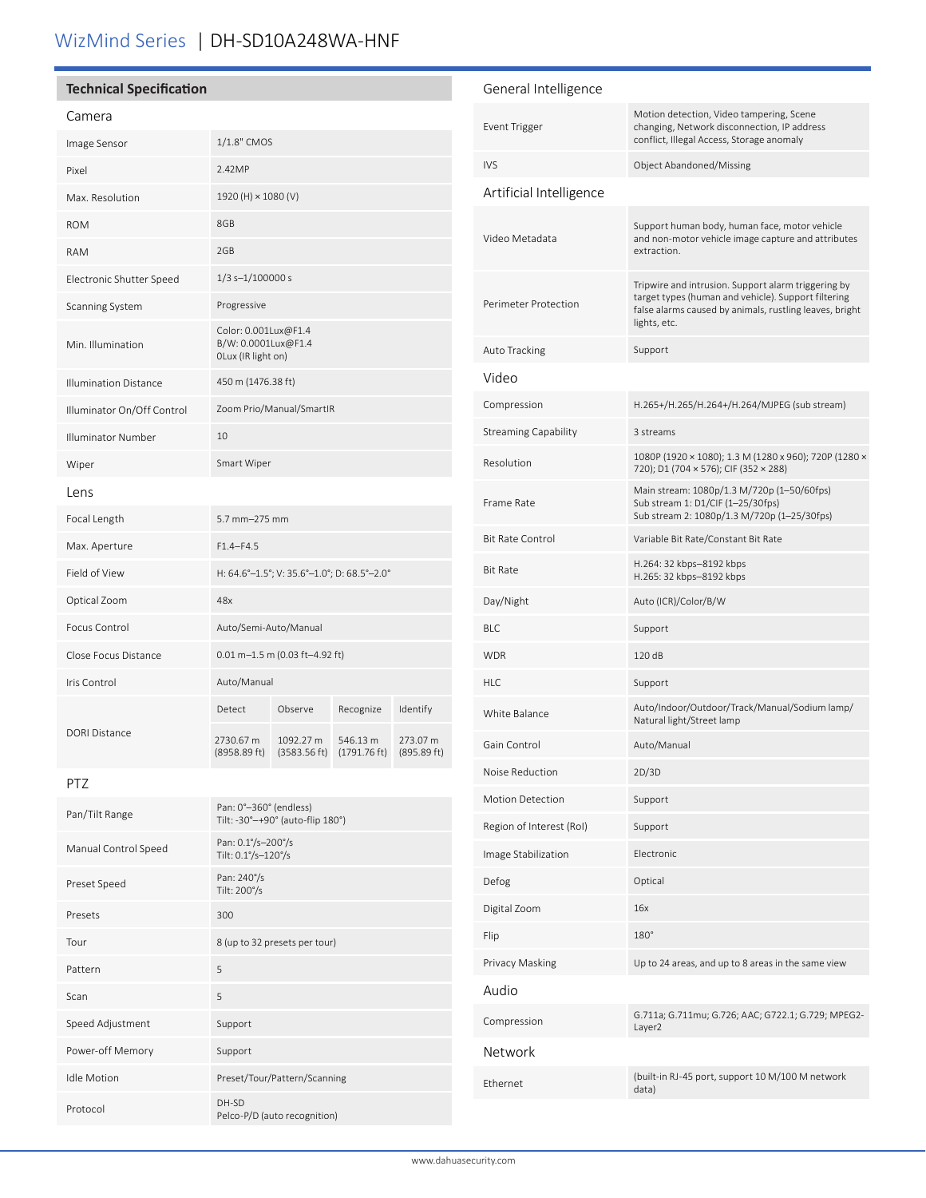## WizMind Series | DH-SD10A248WA-HNF

### **Technical Specification**

### Camera

| Image Sensor                 | 1/1.8" CMOS                                                       |                           |                          |                         |
|------------------------------|-------------------------------------------------------------------|---------------------------|--------------------------|-------------------------|
| Pixel                        | 2.42MP                                                            |                           |                          |                         |
| Max. Resolution              | 1920 (H) × 1080 (V)                                               |                           |                          |                         |
| <b>ROM</b>                   | 8GB                                                               |                           |                          |                         |
| <b>RAM</b>                   | 2GB                                                               |                           |                          |                         |
| Electronic Shutter Speed     | $1/3$ s- $1/100000$ s                                             |                           |                          |                         |
| Scanning System              | Progressive                                                       |                           |                          |                         |
| Min. Illumination            | Color: 0.001Lux@F1.4<br>B/W: 0.0001Lux@F1.4<br>OLux (IR light on) |                           |                          |                         |
| <b>Illumination Distance</b> | 450 m (1476.38 ft)                                                |                           |                          |                         |
| Illuminator On/Off Control   | Zoom Prio/Manual/SmartIR                                          |                           |                          |                         |
| Illuminator Number           | 10                                                                |                           |                          |                         |
| Wiper                        | Smart Wiper                                                       |                           |                          |                         |
| Lens                         |                                                                   |                           |                          |                         |
| Focal Length                 | $5.7$ mm $-275$ mm                                                |                           |                          |                         |
| Max. Aperture                | $F1.4 - F4.5$                                                     |                           |                          |                         |
| Field of View                | H: 64.6°-1.5°; V: 35.6°-1.0°; D: 68.5°-2.0°                       |                           |                          |                         |
| Optical Zoom                 | 48x                                                               |                           |                          |                         |
| Focus Control                | Auto/Semi-Auto/Manual                                             |                           |                          |                         |
| Close Focus Distance         | $0.01$ m-1.5 m (0.03 ft-4.92 ft)                                  |                           |                          |                         |
| Iris Control                 | Auto/Manual                                                       |                           |                          |                         |
| <b>DORI Distance</b>         | Detect                                                            | Observe                   | Recognize                | Identify                |
|                              | 2730.67 m<br>(8958.89 ft)                                         | 1092.27 m<br>(3583.56 ft) | 546.13 m<br>(1791.76 ft) | 273.07 m<br>(895.89 ft) |

### PTZ

| Pan/Tilt Range       | Pan: 0°-360° (endless)<br>Tilt: -30°-+90° (auto-flip 180°) |
|----------------------|------------------------------------------------------------|
| Manual Control Speed | Pan: 0.1%-200%<br>Tilt: 0.1°/s-120°/s                      |
| Preset Speed         | Pan: 240%<br>Tilt: 200%                                    |
| Presets              | 300                                                        |
| Tour                 | 8 (up to 32 presets per tour)                              |
| Pattern              | 5                                                          |
| Scan                 | 5                                                          |
| Speed Adjustment     | Support                                                    |
| Power-off Memory     | Support                                                    |
| <b>Idle Motion</b>   | Preset/Tour/Pattern/Scanning                               |
| Protocol             | DH-SD<br>Pelco-P/D (auto recognition)                      |

### General Intelligence Event Trigger Motion detection, Video tampering, Scene changing, Network disconnection, IP address conflict, Illegal Access, Storage anomaly IVS Object Abandoned/Missing Artificial Intelligence Video Metadata Support human body, human face, motor vehicle and non-motor vehicle image capture and attributes extraction. Perimeter Protection Tripwire and intrusion. Support alarm triggering by target types (human and vehicle). Support filtering false alarms caused by animals, rustling leaves, bright lights, etc. Auto Tracking Support Video Compression H.265+/H.265/H.264+/H.264/MJPEG (sub stream) Streaming Capability 3 streams Resolution 1080P (1920 × 1080); 1.3 M (1280 x 960); 720P (1280 × 720); D1 (704 × 576); CIF (352 × 288) Frame Rate Main stream: 1080p/1.3 M/720p (1–50/60fps) Sub stream 1: D1/CIF (1–25/30fps) Sub stream 2: 1080p/1.3 M/720p (1–25/30fps) Bit Rate Control Variable Bit Rate/Constant Bit Rate Bit Rate H.264: 32 kbps–8192 kbps H.265: 32 kbps–8192 kbps Day/Night Auto (ICR)/Color/B/W BLC Support WDR 120 dB HLC Support White Balance Auto/Indoor/Outdoor/Track/Manual/Sodium lamp/ Natural light/Street lamp Gain Control Auto/Manual Noise Reduction 2D/3D Motion Detection Support Region of Interest (RoI) Support Image Stabilization Electronic Defog Optical Digital Zoom 16x Flip 180° Privacy Masking Up to 24 areas, and up to 8 areas in the same view Audio Compression G.711a; G.711mu; G.726; AAC; G722.1; G.729; MPEG2-Layer2 Network Ethernet (built-in RJ-45 port, support 10 M/100 M network data)